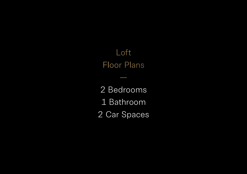## Loft Floor Plans

—

2 Bedrooms 1 Bathroom 2 Car Spaces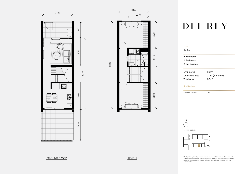This layout may be subject to minor amendments and dimensional changes to suit final working drawings and grid layouts. Living, balcony / courtyard and garage areas measured from centre line of party walls and outside face of common walls and external walls.

## DEL-REY

N $($ 



| 2 Bedrooms          |                     |
|---------------------|---------------------|
| 1 Bathroom          |                     |
| 2 Car Spaces        |                     |
| Living area         | 65m <sup>2</sup>    |
| Courtyard area      | $21m^2 (7 + 14m^2)$ |
| <b>Total Area</b>   | 86m <sup>2</sup>    |
| <b>Unit Numbers</b> |                     |





GROUND & LEVEL 1